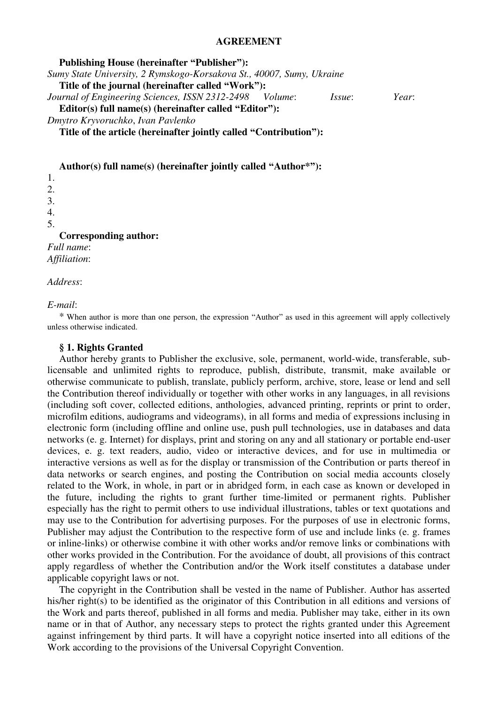#### **AGREEMENT**

**Publishing House (hereinafter "Publisher"):** *Sumy State University, 2 Rymskogo-Korsakova St., 40007, Sumy, Ukraine*  **Title of the journal (hereinafter called "Work"):** *Journal of Engineering Sciences, ISSN 2312-2498 Volume*: *Issue*: *Year*: **Editor(s) full name(s) (hereinafter called "Editor"):** *Dmytro Kryvoruchko*, *Ivan Pavlenko* **Title of the article (hereinafter jointly called "Contribution"):** 

**Author(s) full name(s) (hereinafter jointly called "Author\*"):**

1. 2. 3. 4. 5. **Corresponding author:**  *Full name*: *Affiliation*:

*Address*:

*E-mail*:

\* When author is more than one person, the expression "Author" as used in this agreement will apply collectively unless otherwise indicated.

#### **§ 1. Rights Granted**

Author hereby grants to Publisher the exclusive, sole, permanent, world-wide, transferable, sublicensable and unlimited rights to reproduce, publish, distribute, transmit, make available or otherwise communicate to publish, translate, publicly perform, archive, store, lease or lend and sell the Contribution thereof individually or together with other works in any languages, in all revisions (including soft cover, collected editions, anthologies, advanced printing, reprints or print to order, microfilm editions, audiograms and videograms), in all forms and media of expressions inclusing in electronic form (including offline and online use, push pull technologies, use in databases and data networks (e. g. Internet) for displays, print and storing on any and all stationary or portable end-user devices, e. g. text readers, audio, video or interactive devices, and for use in multimedia or interactive versions as well as for the display or transmission of the Contribution or parts thereof in data networks or search engines, and posting the Contribution on social media accounts closely related to the Work, in whole, in part or in abridged form, in each case as known or developed in the future, including the rights to grant further time-limited or permanent rights. Publisher especially has the right to permit others to use individual illustrations, tables or text quotations and may use to the Contribution for advertising purposes. For the purposes of use in electronic forms, Publisher may adjust the Contribution to the respective form of use and include links (e. g. frames or inline-links) or otherwise combine it with other works and/or remove links or combinations with other works provided in the Contribution. For the avoidance of doubt, all provisions of this contract apply regardless of whether the Contribution and/or the Work itself constitutes a database under applicable copyright laws or not.

The copyright in the Contribution shall be vested in the name of Publisher. Author has asserted his/her right(s) to be identified as the originator of this Contribution in all editions and versions of the Work and parts thereof, published in all forms and media. Publisher may take, either in its own name or in that of Author, any necessary steps to protect the rights granted under this Agreement against infringement by third parts. It will have a copyright notice inserted into all editions of the Work according to the provisions of the Universal Copyright Convention.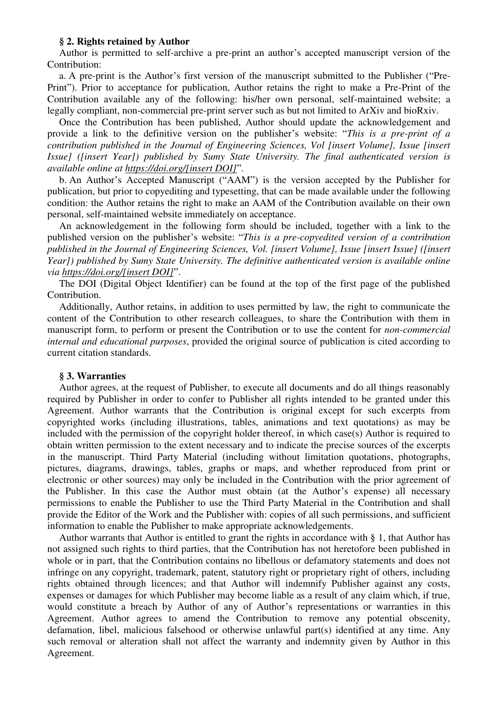## **§ 2. Rights retained by Author**

Author is permitted to self-archive a pre-print an author's accepted manuscript version of the Contribution:

a. A pre-print is the Author's first version of the manuscript submitted to the Publisher ("Pre-Print"). Prior to acceptance for publication, Author retains the right to make a Pre-Print of the Contribution available any of the following: his/her own personal, self-maintained website; a legally compliant, non-commercial pre-print server such as but not limited to ArXiv and bioRxiv.

Once the Contribution has been published, Author should update the acknowledgement and provide a link to the definitive version on the publisher's website: "*This is a pre-print of a contribution published in the Journal of Engineering Sciences, Vol [insert Volume], Issue [insert Issue] ([insert Year]) published by Sumy State University. The final authenticated version is available online at https://doi.org/[insert DOI]*".

b. An Author's Accepted Manuscript ("AAM") is the version accepted by the Publisher for publication, but prior to copyediting and typesetting, that can be made available under the following condition: the Author retains the right to make an AAM of the Contribution available on their own personal, self-maintained website immediately on acceptance.

An acknowledgement in the following form should be included, together with a link to the published version on the publisher's website: "*This is a pre-copyedited version of a contribution published in the Journal of Engineering Sciences, Vol. [insert Volume], Issue [insert Issue] ([insert Year]) published by Sumy State University. The definitive authenticated version is available online via https://doi.org/[insert DOI]*".

The DOI (Digital Object Identifier) can be found at the top of the first page of the published Contribution.

Additionally, Author retains, in addition to uses permitted by law, the right to communicate the content of the Contribution to other research colleagues, to share the Contribution with them in manuscript form, to perform or present the Contribution or to use the content for *non-commercial internal and educational purposes*, provided the original source of publication is cited according to current citation standards.

#### **§ 3. Warranties**

Author agrees, at the request of Publisher, to execute all documents and do all things reasonably required by Publisher in order to confer to Publisher all rights intended to be granted under this Agreement. Author warrants that the Contribution is original except for such excerpts from copyrighted works (including illustrations, tables, animations and text quotations) as may be included with the permission of the copyright holder thereof, in which case(s) Author is required to obtain written permission to the extent necessary and to indicate the precise sources of the excerpts in the manuscript. Third Party Material (including without limitation quotations, photographs, pictures, diagrams, drawings, tables, graphs or maps, and whether reproduced from print or electronic or other sources) may only be included in the Contribution with the prior agreement of the Publisher. In this case the Author must obtain (at the Author's expense) all necessary permissions to enable the Publisher to use the Third Party Material in the Contribution and shall provide the Editor of the Work and the Publisher with: copies of all such permissions, and sufficient information to enable the Publisher to make appropriate acknowledgements.

Author warrants that Author is entitled to grant the rights in accordance with § 1, that Author has not assigned such rights to third parties, that the Contribution has not heretofore been published in whole or in part, that the Contribution contains no libellous or defamatory statements and does not infringe on any copyright, trademark, patent, statutory right or proprietary right of others, including rights obtained through licences; and that Author will indemnify Publisher against any costs, expenses or damages for which Publisher may become liable as a result of any claim which, if true, would constitute a breach by Author of any of Author's representations or warranties in this Agreement. Author agrees to amend the Contribution to remove any potential obscenity, defamation, libel, malicious falsehood or otherwise unlawful part(s) identified at any time. Any such removal or alteration shall not affect the warranty and indemnity given by Author in this Agreement.